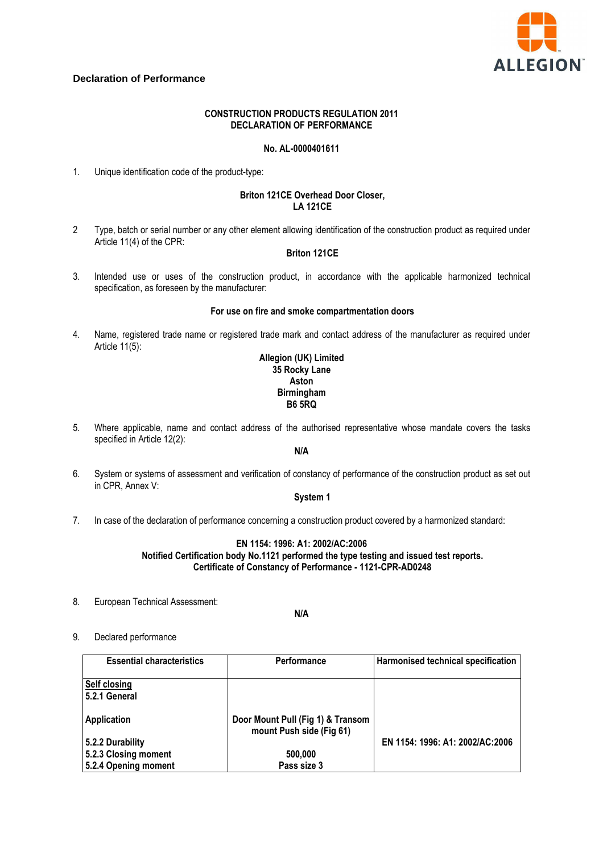

## **Declaration of Performance**

## **CONSTRUCTION PRODUCTS REGULATION 2011 DECLARATION OF PERFORMANCE**

### **No. AL-0000401611**

1. Unique identification code of the product-type:

## **Briton 121CE Overhead Door Closer, LA 121CE**

2 Type, batch or serial number or any other element allowing identification of the construction product as required under Article 11(4) of the CPR:

## **Briton 121CE**

3. Intended use or uses of the construction product, in accordance with the applicable harmonized technical specification, as foreseen by the manufacturer:

#### **For use on fire and smoke compartmentation doors**

4. Name, registered trade name or registered trade mark and contact address of the manufacturer as required under Article 11(5):

### **Allegion (UK) Limited 35 Rocky Lane Aston Birmingham B6 5RQ**

5. Where applicable, name and contact address of the authorised representative whose mandate covers the tasks specified in Article 12(2):

## **N/A**

6. System or systems of assessment and verification of constancy of performance of the construction product as set out in CPR, Annex V:

### **System 1**

7. In case of the declaration of performance concerning a construction product covered by a harmonized standard:

## **EN 1154: 1996: A1: 2002/AC:2006 Notified Certification body No.1121 performed the type testing and issued test reports. Certificate of Constancy of Performance - 1121-CPR-AD0248**

8. European Technical Assessment:

**N/A** 

9. Declared performance

| <b>Essential characteristics</b>    | <b>Performance</b>                                            | Harmonised technical specification |
|-------------------------------------|---------------------------------------------------------------|------------------------------------|
| <b>Self closing</b><br>52.1 General |                                                               |                                    |
| <b>Application</b>                  | Door Mount Pull (Fig 1) & Transom<br>mount Push side (Fig 61) |                                    |
| 5.2.2 Durability                    |                                                               | EN 1154: 1996: A1: 2002/AC:2006    |
| 5.2.3 Closing moment                | 500,000                                                       |                                    |
| 5.2.4 Opening moment                | Pass size 3                                                   |                                    |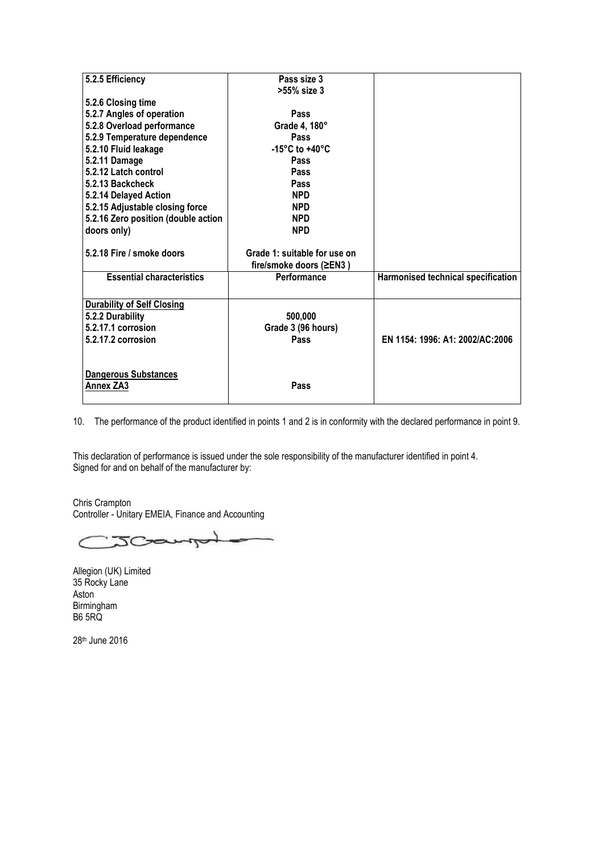| 5.2.5 Efficiency                    | Pass size 3                        |                                    |
|-------------------------------------|------------------------------------|------------------------------------|
|                                     | >55% size 3                        |                                    |
| 5.2.6 Closing time                  |                                    |                                    |
| 5.2.7 Angles of operation           | Pass                               |                                    |
| 5.2.8 Overload performance          | Grade 4, 180°                      |                                    |
| 5.2.9 Temperature dependence        | <b>Pass</b>                        |                                    |
| 5.2.10 Fluid leakage                | -15 $\degree$ C to +40 $\degree$ C |                                    |
| 5.2.11 Damage                       | <b>Pass</b>                        |                                    |
| 5.2.12 Latch control                | Pass                               |                                    |
| 5.2.13 Backcheck                    | <b>Pass</b>                        |                                    |
| 5.2.14 Delayed Action               | <b>NPD</b>                         |                                    |
| 5.2.15 Adjustable closing force     | <b>NPD</b>                         |                                    |
| 5.2.16 Zero position (double action | <b>NPD</b>                         |                                    |
| doors only)                         | <b>NPD</b>                         |                                    |
|                                     |                                    |                                    |
| 5.2.18 Fire / smoke doors           | Grade 1: suitable for use on       |                                    |
|                                     | fire/smoke doors (≥EN3)            |                                    |
| <b>Essential characteristics</b>    | Performance                        | Harmonised technical specification |
|                                     |                                    |                                    |
| <b>Durability of Self Closing</b>   |                                    |                                    |
| 5.2.2 Durability                    | 500,000                            |                                    |
| 5.2.17.1 corrosion                  | Grade 3 (96 hours)                 |                                    |
| 5.2.17.2 corrosion                  | Pass                               | EN 1154: 1996: A1: 2002/AC:2006    |
|                                     |                                    |                                    |
|                                     |                                    |                                    |
| <b>Dangerous Substances</b>         |                                    |                                    |
| Annex ZA3                           | Pass                               |                                    |
|                                     |                                    |                                    |

10. The performance of the product identified in points 1 and 2 is in conformity with the declared performance in point 9.

This declaration of performance is issued under the sole responsibility of the manufacturer identified in point 4. Signed for and on behalf of the manufacturer by:

Chris Crampton Controller - Unitary EMEIA, Finance and Accounting

JCampot  $\epsilon$ 

Allegion (UK) Limited 35 Rocky Lane Aston Birmingham B6 5RQ

28th June 2016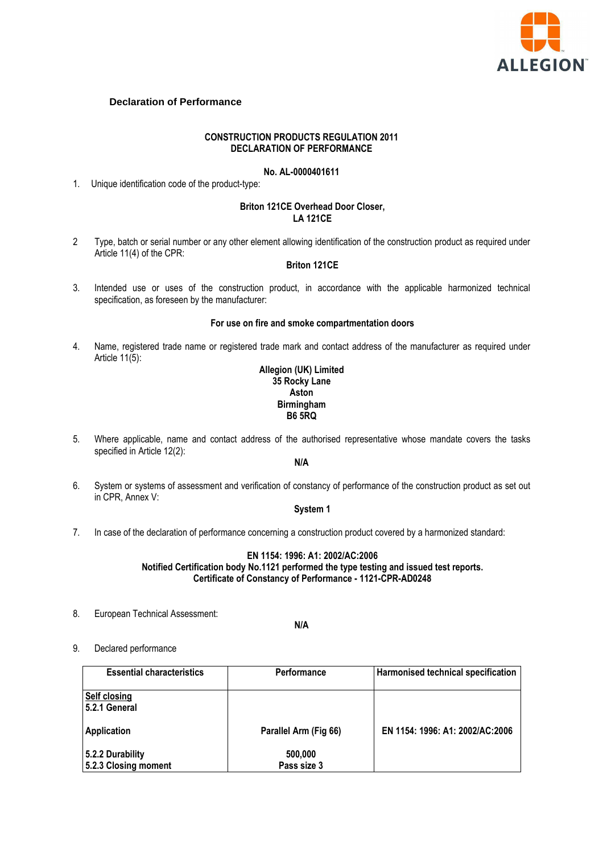

# **Declaration of Performance**

### **CONSTRUCTION PRODUCTS REGULATION 2011 DECLARATION OF PERFORMANCE**

## **No. AL-0000401611**

1. Unique identification code of the product-type:

#### **Briton 121CE Overhead Door Closer, LA 121CE**

2 Type, batch or serial number or any other element allowing identification of the construction product as required under Article 11(4) of the CPR:

# **Briton 121CE**

3. Intended use or uses of the construction product, in accordance with the applicable harmonized technical specification, as foreseen by the manufacturer:

#### **For use on fire and smoke compartmentation doors**

4. Name, registered trade name or registered trade mark and contact address of the manufacturer as required under Article 11(5):

## **Allegion (UK) Limited 35 Rocky Lane Aston Birmingham B6 5RQ**

5. Where applicable, name and contact address of the authorised representative whose mandate covers the tasks specified in Article 12(2):

## **N/A**

6. System or systems of assessment and verification of constancy of performance of the construction product as set out in CPR, Annex V:

## **System 1**

7. In case of the declaration of performance concerning a construction product covered by a harmonized standard:

## **EN 1154: 1996: A1: 2002/AC:2006 Notified Certification body No.1121 performed the type testing and issued test reports. Certificate of Constancy of Performance - 1121-CPR-AD0248**

8. European Technical Assessment:

**N/A** 

## 9. Declared performance

| <b>Essential characteristics</b>         | <b>Performance</b>     | Harmonised technical specification |
|------------------------------------------|------------------------|------------------------------------|
| <b>Self closing</b><br>5.2.1 General     |                        |                                    |
| <b>Application</b>                       | Parallel Arm (Fig 66)  | EN 1154: 1996: A1: 2002/AC:2006    |
| 5.2.2 Durability<br>5.2.3 Closing moment | 500,000<br>Pass size 3 |                                    |